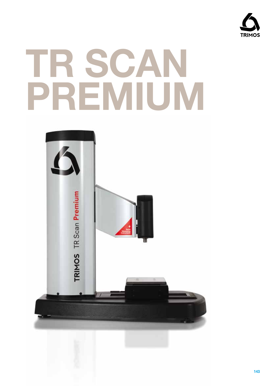

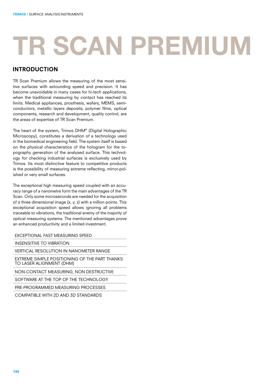#### introduction

TR Scan Premium allows the measuring of the most sensitive surfaces with astounding speed and precision. It has become unavoidable in many cases for hi-tech applications, when the traditional measuring by contact has reached its limits. Medical appliances, prosthesis, wafers, MEMS, semiconductors, metallic layers deposits, polymer films, optical components, research and development, quality control, are the areas of expertise of TR Scan Premium.

The heart of the system, Trimos DHM® (Digital Holographic Microscopy), constitutes a derivation of a technology used in the biomedical engineering field. The system itself is based on the physical characteristics of the hologram for the topography generation of the analysed surface. This technology for checking industrial surfaces is exclusively used by Trimos. Its most distinctive feature to competitive products is the possibility of measuring extreme reflecting, mirror-polished or very small surfaces.

The exceptional high measuring speed coupled with an accuracy range of a nanometre form the main advantages of the TR Scan. Only some microseconds are needed for the acquisition of a three dimensional image (x, y, z) with a million points. This exceptional acquisition speed allows ignoring all problems traceable to vibrations, the traditional enemy of the majority of optical measuring systems. The mentioned advantages prove an enhanced productivity and a limited investment.

EXCEPTIONAL FAST MEASURING SPEED

INSENSITIVE TO VIBRATION

VERTICAL RESOLUTION IN NANOMETER RANGE

EXTREME SIMPLE POSITIONING OF THE PART THANKS TO LASER ALIGNMENT (DHM)

NON-CONTACT MEASURING, NON DESTRUCTIVE

SOFTWARE AT THE TOP OF THE TECHNOLOGY

PRE-PROGRAMMED MEASURING PROCESSES

COMPATIBLE WITH 2D AND 3D STANDARDS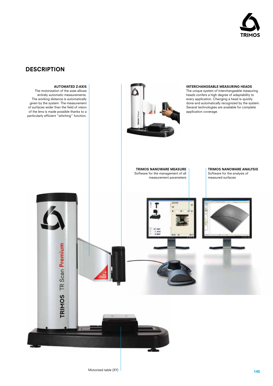

#### **DESCRIPTION**

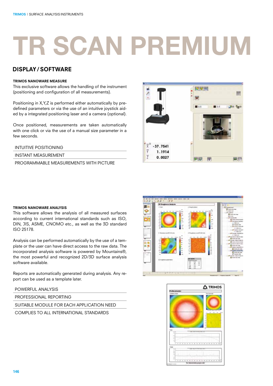### display/ software

#### Trimos Nanoware Measure

This exclusive software allows the handling of the instrument (positioning and configuration of all measurements).

Positioning in X,Y,Z is performed either automatically by predefined parameters or via the use of an intuitive joystick aided by a integrated positioning laser and a camera (optional).

Once positioned, measurements are taken automatically with one click or via the use of a manual size parameter in a few seconds.

#### INTUITIVE POSITIONING

INSTANT MEASUREMENT

PROGRAMMABLE MEASUREMENTS WITH PICTURE



#### Trimos Nanoware Analysis

This software allows the analysis of all measured surfaces according to current international standards such as ISO, DIN, JIS, ASME, CNOMO etc., as well as the 3D standard ISO 25178.

Analysis can be performed automatically by the use of a template or the user can have direct access to the raw data. The incorporated analysis software is powered by Mountains®, the most powerful and recognized 2D/3D surface analysis software available.

Reports are automatically generated during analysis. Any report can be used as a template later.

POWERFUL ANALYSIS

PROFESSIONAL REPORTING

SUITABLE MODULE FOR EACH APPLICATION NEED

COMPLIES TO ALL INTERNATIONAL STANDARDS



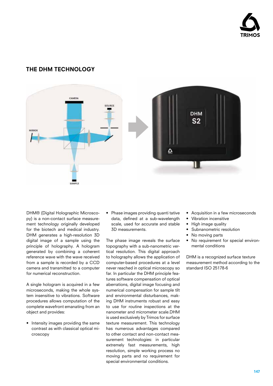

### THE DHM TECHNOLOGY



DHM® (Digital Holographic Microscopy) is a non-contact surface measurement technology originally developed for the biotech and medical industry. DHM generates a high-resolution 3D digital image of a sample using the principle of holography. A hologram generated by combining a coherent reference wave with the wave received from a sample is recorded by a CCD camera and transmitted to a computer for numerical reconstruction.

A single hologram is acquired in a few microseconds, making the whole system insensitive to vibrations. Software procedures allows computation of the complete wavefront emanating from an object and provides:

• Intensity images providing the same contrast as with classical optical microscopy

• Phase images providing quanti tative data, defined at a sub-wavelength scale, used for accurate and stable 3D measurements.

The phase image reveals the surface topography with a sub-nanometric vertical resolution. This digital approach to holography allows the application of computer-based procedures at a level never reached in optical microscopy so far. In particular the DHM principle features software compensation of optical aberrations, digital image focusing and numerical compensation for sample tilt and environmental disturbances, making DHM instruments robust and easy to use for routine inspections at the nanometer and micrometer scale.DHM is used exclusively by Trimos for surface texture measurement. This technology has numerous advantages compared to other contact and non-contact measurement technologies: in particular extremely fast measurements, high resolution, simple working process no moving parts and no requirement for special environmental conditions.

- Acquisition in a few microseconds
- Vibration incensitive
- High image quality
- Subnanometric resolution
- No moving parts
- No requirement for special environmental conditions

DHM is a recognized surface texture measurement method according to the standard ISO 25178-6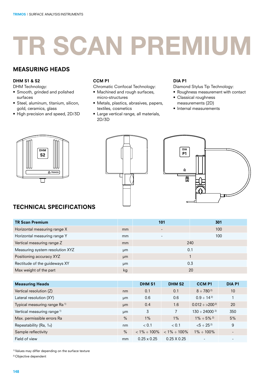### MEASURING HEADS

#### DHM S1 & S2

- DHM Technology:
- Smooth, grinded and polished surfaces
- Steel, aluminum, titanium, silicon, gold, ceramics, glass
- High precision and speed, 2D/3D

#### CCM P1

- Chromatic Confocal Technology:
- Machined and rough surfaces, micro-structures
- Metals, plastics, abrasives, papers, textiles, cosmetics
- Large vertical range, all materials, 2D/3D

#### DIA P1

- Diamond Stylus Tip Technology:
- Roughness measurement with contact
- Classical roughness measurements (2D)
- Internal measurements







# TECHNICAL SPECIFICATIONS

| <b>TR Scan Premium</b>          |    | 101                      | 301 |
|---------------------------------|----|--------------------------|-----|
| Horizontal measuring range X    | mm | $\overline{\phantom{a}}$ | 100 |
| Horizontal measuring range Y    | mm |                          | 100 |
| Vertical measuring range Z      | mm |                          | 240 |
| Measuring system resolution XYZ | µm | 0.1                      |     |
| Positioning accuracy XYZ        | µm |                          |     |
| Rectitude of the guideways XY   | µm |                          | 0.3 |
| Max weight of the part          | kg |                          | 20  |

| <b>Measuring Heads</b>                   |      | <b>DHM S1</b>      | <b>DHM S2</b>      | <b>CCMP1</b>                 | <b>DIA P1</b>            |
|------------------------------------------|------|--------------------|--------------------|------------------------------|--------------------------|
| Vertical resolution (Z)                  | nm   | 0.1                | 0.1                | $8 \div 780^{2}$             | 10                       |
| Lateral resolution (XY)                  | µm   | 0.6                | 0.6                | $0.9 \div 14^{2}$            |                          |
| Typical measuring range Ra <sup>1)</sup> | μm   | 0.4                | 1.6                | $0.012 \div > 200^{2}$       | 20                       |
| Vertical measuring range <sup>1)</sup>   | µm   | 3                  | 7                  | $130 \div 24000^{2}$         | 350                      |
| Max. permissible errors Ra               | $\%$ | $1\%$              | 1%                 | $1\% \div 5\%$ <sup>2)</sup> | 5%                       |
| Repeatability (Ra, 1o)                   | nm   | < 0.1              | < 0.1              | $< 5 \div 25^{2}$            | 9                        |
| Sample reflectivity                      | $\%$ | $< 1\% \div 100\%$ | $< 1\% \div 100\%$ | $1\% \div 100\%$             | $\overline{\phantom{a}}$ |
| Field of view                            | mm   | $0.25 \times 0.25$ | $0.25 \times 0.25$ |                              | $\overline{\phantom{0}}$ |

1) Values may differ depending on the surface texture

2) Objective dependent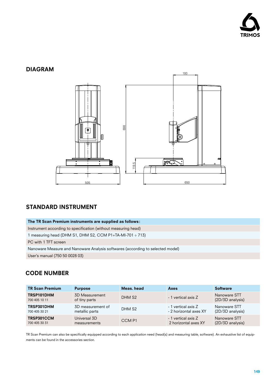

### DIAGRAM



### STANDARD INSTRUMENT

| The TR Scan Premium instruments are supplied as follows:                       |  |  |  |  |
|--------------------------------------------------------------------------------|--|--|--|--|
| Instrument according to specification (without measuring head)                 |  |  |  |  |
| measuring head (DHM S1, DHM S2, CCM P1+TA-MI-701 $\div$ 713)                   |  |  |  |  |
| PC with 1 TFT screen                                                           |  |  |  |  |
| Nanoware Measure and Nanoware Analysis softwares (according to selected model) |  |  |  |  |
| User's manual (750 50 0028 03)                                                 |  |  |  |  |

## CODE NUMBER

| <b>TR Scan Premium</b>      | <b>Purpose</b>                  | Meas, head         | Axes                   | <b>Software</b>                  |
|-----------------------------|---------------------------------|--------------------|------------------------|----------------------------------|
| TRSP101DHM<br>700 405 10 11 | 3D Measurement<br>of tiny parts | DHM S <sub>2</sub> | - 1 vertical axis Z    | Nanoware STT<br>(2D/3D analysis) |
| TRSP301DHM                  | 3D measurement of               | DHM S <sub>2</sub> | - 1 vertical axis Z    | Nanoware STT                     |
| 700 405 30 21               | metallic parts                  |                    | - 2 horizontal axes XY | (2D/3D analysis)                 |
| TRSP301CCM                  | Universal 3D                    | CCM <sub>P1</sub>  | - 1 vertical axis Z    | Nanoware STT                     |
| 700 405 30 31               | measurements                    |                    | 2 horizontal axes XY   | (2D/3D analysis)                 |

TR Scan Premium can also be specifically equipped according to each application need (head(s) and measuring table, software). An exhaustive list of equipments can be found in the accessories section.